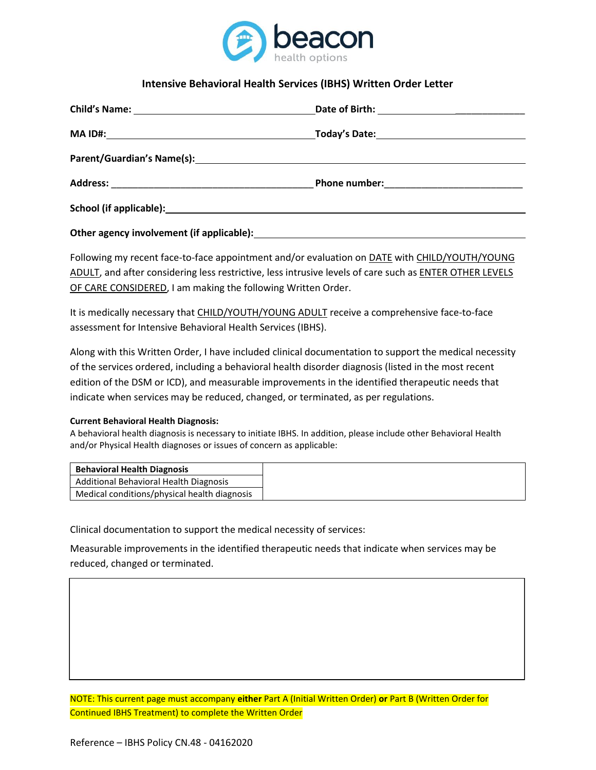

# **Intensive Behavioral Health Services (IBHS) Written Order Letter**

Following my recent face-to-face appointment and/or evaluation on **DATE** with CHILD/YOUTH/YOUNG ADULT, and after considering less restrictive, less intrusive levels of care such as ENTER OTHER LEVELS OF CARE CONSIDERED, I am making the following Written Order.

It is medically necessary that CHILD/YOUTH/YOUNG ADULT receive a comprehensive face-to-face assessment for Intensive Behavioral Health Services (IBHS).

Along with this Written Order, I have included clinical documentation to support the medical necessity of the services ordered, including a behavioral health disorder diagnosis (listed in the most recent edition of the DSM or ICD), and measurable improvements in the identified therapeutic needs that indicate when services may be reduced, changed, or terminated, as per regulations.

#### **Current Behavioral Health Diagnosis:**

A behavioral health diagnosis is necessary to initiate IBHS. In addition, please include other Behavioral Health and/or Physical Health diagnoses or issues of concern as applicable:

| <b>Behavioral Health Diagnosis</b>           |
|----------------------------------------------|
| Additional Behavioral Health Diagnosis       |
| Medical conditions/physical health diagnosis |

Clinical documentation to support the medical necessity of services:

Measurable improvements in the identified therapeutic needs that indicate when services may be reduced, changed or terminated.

NOTE: This current page must accompany **either** Part A (Initial Written Order) **or** Part B (Written Order for Continued IBHS Treatment) to complete the Written Order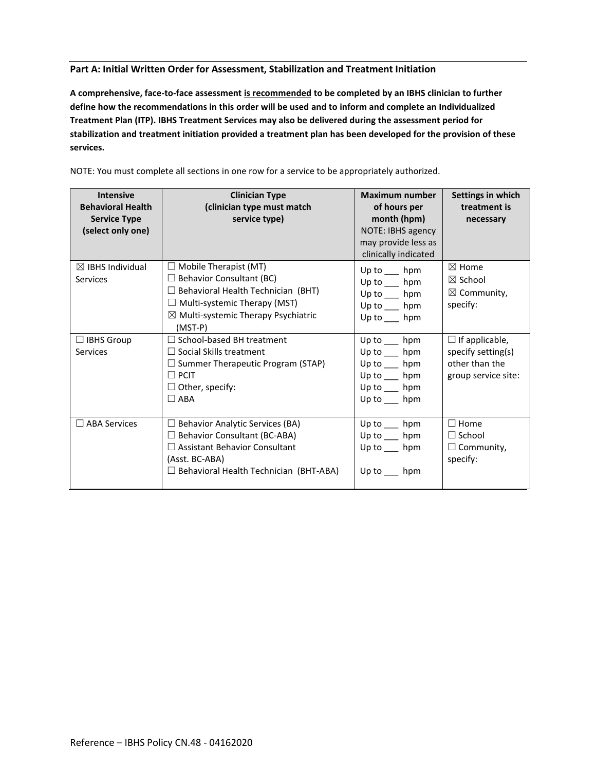### **Part A: Initial Written Order for Assessment, Stabilization and Treatment Initiation**

**A comprehensive, face-to-face assessment is recommended to be completed by an IBHS clinician to further define how the recommendations in this order will be used and to inform and complete an Individualized Treatment Plan (ITP). IBHS Treatment Services may also be delivered during the assessment period for stabilization and treatment initiation provided a treatment plan has been developed for the provision of these services.** 

| <b>Intensive</b><br><b>Behavioral Health</b><br><b>Service Type</b><br>(select only one) | <b>Clinician Type</b><br>(clinician type must match<br>service type)                                                                                                                                               | Maximum number<br>of hours per<br>month (hpm)<br>NOTE: IBHS agency<br>may provide less as<br>clinically indicated | Settings in which<br>treatment is<br>necessary                                       |
|------------------------------------------------------------------------------------------|--------------------------------------------------------------------------------------------------------------------------------------------------------------------------------------------------------------------|-------------------------------------------------------------------------------------------------------------------|--------------------------------------------------------------------------------------|
| $\boxtimes$ IBHS Individual<br>Services                                                  | $\Box$ Mobile Therapist (MT)<br>$\Box$ Behavior Consultant (BC)<br>$\Box$ Behavioral Health Technician (BHT)<br>$\Box$ Multi-systemic Therapy (MST)<br>$\boxtimes$ Multi-systemic Therapy Psychiatric<br>$(MST-P)$ | Up to $\_\_$ hpm<br>Up to hpm<br>Up to $\_\_$ hpm<br>Up to hpm<br>Up to hpm                                       | $\boxtimes$ Home<br>$\boxtimes$ School<br>$\boxtimes$ Community,<br>specify:         |
| $\Box$ IBHS Group<br><b>Services</b>                                                     | $\Box$ School-based BH treatment<br>$\Box$ Social Skills treatment<br>$\Box$ Summer Therapeutic Program (STAP)<br>$\Box$ PCIT<br>$\Box$ Other, specify:<br>$\Box$ ABA                                              | Up to $\_\_$ hpm<br>Up to $\_\_$ hpm<br>Up to $\_\_$ hpm<br>Up to $\_\_$ hpm<br>Up to __ hpm<br>Up to $\_\_$ hpm  | $\Box$ If applicable,<br>specify setting(s)<br>other than the<br>group service site: |
| $\Box$ ABA Services                                                                      | <b>Behavior Analytic Services (BA)</b><br>Ш<br>$\Box$ Behavior Consultant (BC-ABA)<br>$\Box$ Assistant Behavior Consultant<br>(Asst. BC-ABA)<br>$\Box$ Behavioral Health Technician (BHT-ABA)                      | Up to $\_\_$ hpm<br>Up to $\_\_$ hpm<br>Up to $h$ pm<br>Up to<br>hpm                                              | $\Box$ Home<br>$\Box$ School<br>$\Box$ Community,<br>specify:                        |

NOTE: You must complete all sections in one row for a service to be appropriately authorized.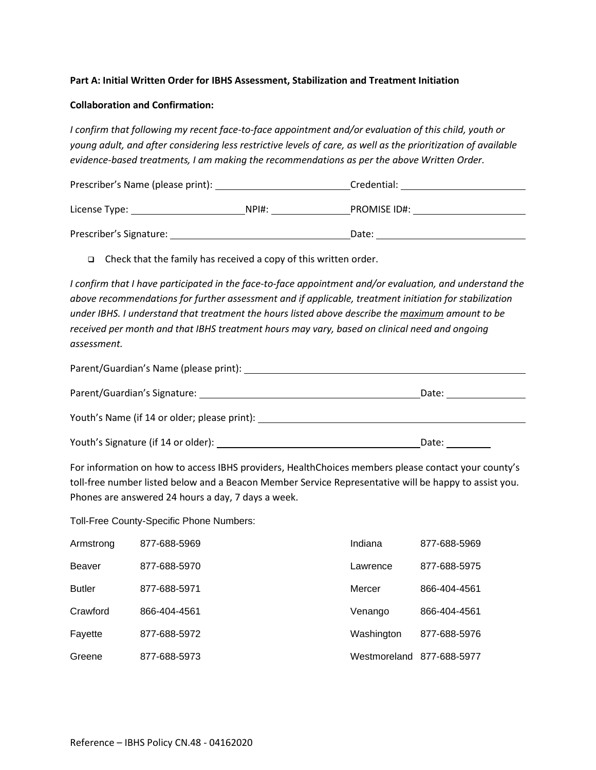## **Part A: Initial Written Order for IBHS Assessment, Stabilization and Treatment Initiation**

#### **Collaboration and Confirmation:**

*I confirm that following my recent face-to-face appointment and/or evaluation of this child, youth or young adult, and after considering less restrictive levels of care, as well as the prioritization of available evidence-based treatments, I am making the recommendations as per the above Written Order.* 

| Prescriber's Name (please print): |      | Credential:         |
|-----------------------------------|------|---------------------|
| License Type:                     | NPH: | <b>PROMISE ID#:</b> |
| Prescriber's Signature:           |      | Date:               |

❑ Check that the family has received a copy of this written order.

*I confirm that I have participated in the face-to-face appointment and/or evaluation, and understand the above recommendations for further assessment and if applicable, treatment initiation for stabilization under IBHS. I understand that treatment the hours listed above describe the maximum amount to be received per month and that IBHS treatment hours may vary, based on clinical need and ongoing assessment.*

| Parent/Guardian's Name (please print):              |       |
|-----------------------------------------------------|-------|
| Parent/Guardian's Signature: 2008 2014 2022 2023    | Date: |
| Youth's Name (if 14 or older; please print): ______ |       |
|                                                     | Date: |

For information on how to access IBHS providers, HealthChoices members please contact your county's toll-free number listed below and a Beacon Member Service Representative will be happy to assist you. Phones are answered 24 hours a day, 7 days a week.

Toll-Free County-Specific Phone Numbers:

| Armstrong     | 877-688-5969 | Indiana                   | 877-688-5969 |
|---------------|--------------|---------------------------|--------------|
| Beaver        | 877-688-5970 | Lawrence                  | 877-688-5975 |
| <b>Butler</b> | 877-688-5971 | Mercer                    | 866-404-4561 |
| Crawford      | 866-404-4561 | Venango                   | 866-404-4561 |
| Fayette       | 877-688-5972 | Washington                | 877-688-5976 |
| Greene        | 877-688-5973 | Westmoreland 877-688-5977 |              |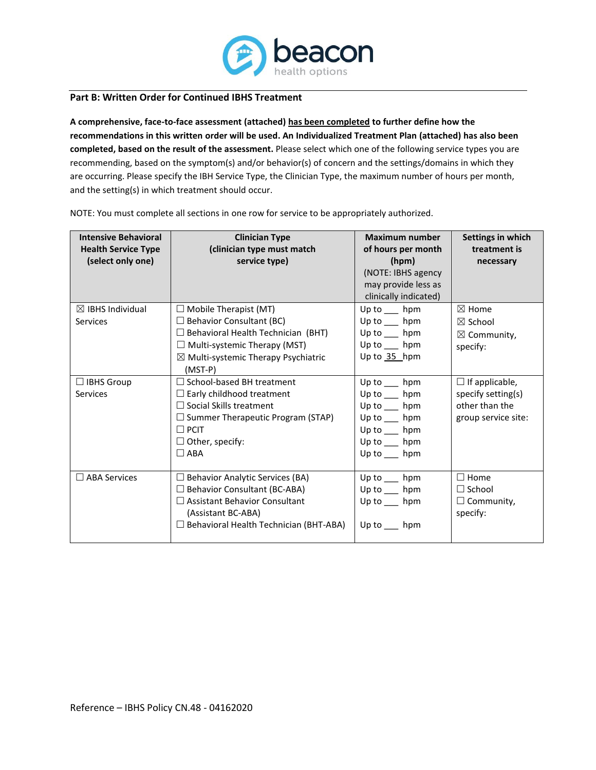

#### **Part B: Written Order for Continued IBHS Treatment**

**A comprehensive, face-to-face assessment (attached) has been completed to further define how the recommendations in this written order will be used. An Individualized Treatment Plan (attached) has also been completed, based on the result of the assessment.** Please select which one of the following service types you are recommending, based on the symptom(s) and/or behavior(s) of concern and the settings/domains in which they are occurring. Please specify the IBH Service Type, the Clinician Type, the maximum number of hours per month, and the setting(s) in which treatment should occur.

| <b>Intensive Behavioral</b> | <b>Clinician Type</b>                            | <b>Maximum number</b> | Settings in which      |
|-----------------------------|--------------------------------------------------|-----------------------|------------------------|
| <b>Health Service Type</b>  | (clinician type must match                       | of hours per month    | treatment is           |
| (select only one)           | service type)                                    | (hpm)                 | necessary              |
|                             |                                                  | (NOTE: IBHS agency    |                        |
|                             |                                                  | may provide less as   |                        |
|                             |                                                  | clinically indicated) |                        |
| $\boxtimes$ IBHS Individual | $\Box$ Mobile Therapist (MT)                     | Up to $\_\_$ hpm      | $\boxtimes$ Home       |
| <b>Services</b>             | $\Box$ Behavior Consultant (BC)                  | Up to $\_\_$ hpm      | $\boxtimes$ School     |
|                             | $\Box$ Behavioral Health Technician (BHT)        | Up to $\_\_$ hpm      | $\boxtimes$ Community, |
|                             | $\Box$ Multi-systemic Therapy (MST)              | Up to hpm             | specify:               |
|                             | $\boxtimes$ Multi-systemic Therapy Psychiatric   | Up to 35_hpm          |                        |
|                             | $(MST-P)$                                        |                       |                        |
| $\Box$ IBHS Group           | □ School-based BH treatment                      | Up to $\_\_$ hpm      | $\Box$ If applicable,  |
| <b>Services</b>             | $\Box$ Early childhood treatment                 | Up to $\_\_$ hpm      | specify setting(s)     |
|                             | $\Box$ Social Skills treatment                   | Up to hpm             | other than the         |
|                             | $\Box$ Summer Therapeutic Program (STAP)         | Up to $\_\_$ hpm      | group service site:    |
|                             | $\Box$ PCIT                                      | Up to hpm             |                        |
|                             | $\Box$ Other, specify:                           | Up to hpm             |                        |
|                             | $\Box$ ABA                                       | Up to $\_\_$ hpm      |                        |
|                             |                                                  |                       |                        |
| $\Box$ ABA Services         | $\Box$ Behavior Analytic Services (BA)           | Up to $\_\_$ hpm      | $\Box$ Home            |
|                             | □ Behavior Consultant (BC-ABA)                   | Up to hpm             | $\Box$ School          |
|                             | $\Box$ Assistant Behavior Consultant             | Up to $\_\_$ hpm      | $\Box$ Community,      |
|                             | (Assistant BC-ABA)                               |                       | specify:               |
|                             | Behavioral Health Technician (BHT-ABA)<br>$\Box$ | Up to hpm             |                        |
|                             |                                                  |                       |                        |

NOTE: You must complete all sections in one row for service to be appropriately authorized.